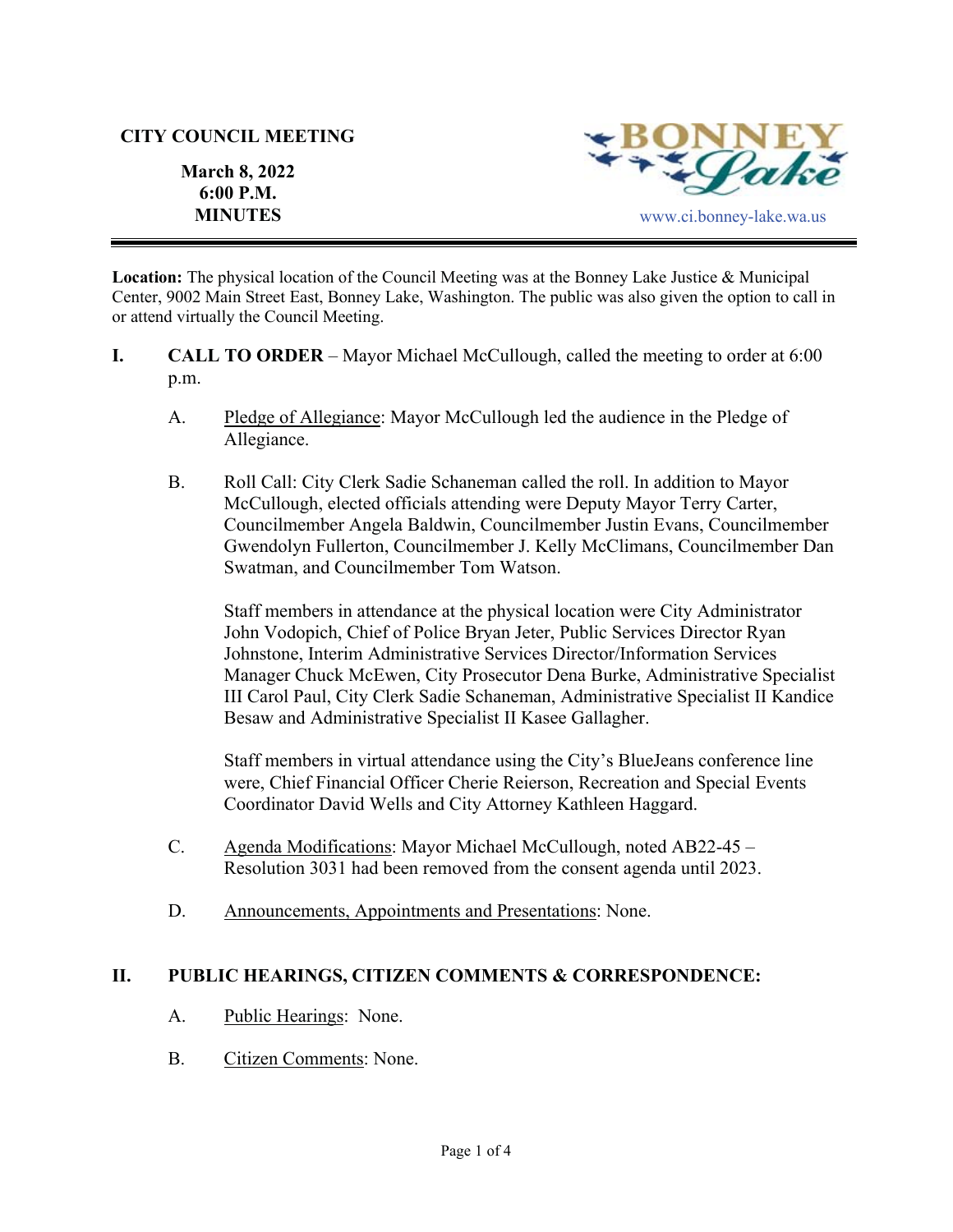### **CITY COUNCIL MEETING**

**March 8, 2022 6:00 P.M.** 



**Location:** The physical location of the Council Meeting was at the Bonney Lake Justice & Municipal Center, 9002 Main Street East, Bonney Lake, Washington. The public was also given the option to call in or attend virtually the Council Meeting.

- **I.** CALL TO ORDER Mayor Michael McCullough, called the meeting to order at 6:00 p.m.
	- A. Pledge of Allegiance: Mayor McCullough led the audience in the Pledge of Allegiance.
	- B. Roll Call: City Clerk Sadie Schaneman called the roll. In addition to Mayor McCullough, elected officials attending were Deputy Mayor Terry Carter, Councilmember Angela Baldwin, Councilmember Justin Evans, Councilmember Gwendolyn Fullerton, Councilmember J. Kelly McClimans, Councilmember Dan Swatman, and Councilmember Tom Watson.

Staff members in attendance at the physical location were City Administrator John Vodopich, Chief of Police Bryan Jeter, Public Services Director Ryan Johnstone, Interim Administrative Services Director/Information Services Manager Chuck McEwen, City Prosecutor Dena Burke, Administrative Specialist III Carol Paul, City Clerk Sadie Schaneman, Administrative Specialist II Kandice Besaw and Administrative Specialist II Kasee Gallagher.

Staff members in virtual attendance using the City's BlueJeans conference line were, Chief Financial Officer Cherie Reierson, Recreation and Special Events Coordinator David Wells and City Attorney Kathleen Haggard.

- C. Agenda Modifications: Mayor Michael McCullough, noted AB22-45 Resolution 3031 had been removed from the consent agenda until 2023.
- D. Announcements, Appointments and Presentations: None.

# **II. PUBLIC HEARINGS, CITIZEN COMMENTS & CORRESPONDENCE:**

- A. Public Hearings: None.
- B. Citizen Comments: None.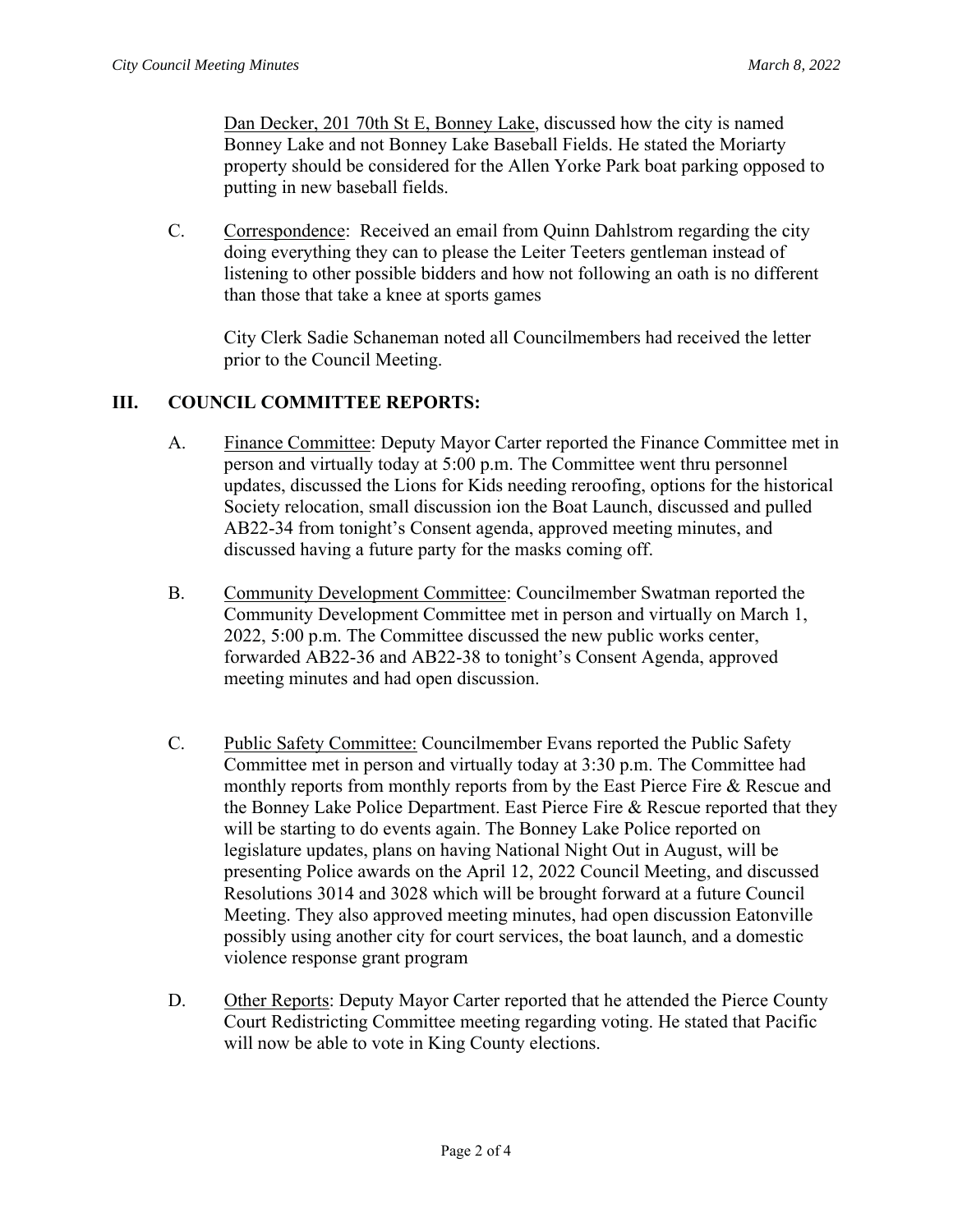Dan Decker, 201 70th St E, Bonney Lake, discussed how the city is named Bonney Lake and not Bonney Lake Baseball Fields. He stated the Moriarty property should be considered for the Allen Yorke Park boat parking opposed to putting in new baseball fields.

C. Correspondence: Received an email from Quinn Dahlstrom regarding the city doing everything they can to please the Leiter Teeters gentleman instead of listening to other possible bidders and how not following an oath is no different than those that take a knee at sports games

City Clerk Sadie Schaneman noted all Councilmembers had received the letter prior to the Council Meeting.

### **III. COUNCIL COMMITTEE REPORTS:**

- A. Finance Committee: Deputy Mayor Carter reported the Finance Committee met in person and virtually today at 5:00 p.m. The Committee went thru personnel updates, discussed the Lions for Kids needing reroofing, options for the historical Society relocation, small discussion ion the Boat Launch, discussed and pulled AB22-34 from tonight's Consent agenda, approved meeting minutes, and discussed having a future party for the masks coming off.
- B. Community Development Committee: Councilmember Swatman reported the Community Development Committee met in person and virtually on March 1, 2022, 5:00 p.m. The Committee discussed the new public works center, forwarded AB22-36 and AB22-38 to tonight's Consent Agenda, approved meeting minutes and had open discussion.
- C. Public Safety Committee: Councilmember Evans reported the Public Safety Committee met in person and virtually today at 3:30 p.m. The Committee had monthly reports from monthly reports from by the East Pierce Fire & Rescue and the Bonney Lake Police Department. East Pierce Fire & Rescue reported that they will be starting to do events again. The Bonney Lake Police reported on legislature updates, plans on having National Night Out in August, will be presenting Police awards on the April 12, 2022 Council Meeting, and discussed Resolutions 3014 and 3028 which will be brought forward at a future Council Meeting. They also approved meeting minutes, had open discussion Eatonville possibly using another city for court services, the boat launch, and a domestic violence response grant program
- D. Other Reports: Deputy Mayor Carter reported that he attended the Pierce County Court Redistricting Committee meeting regarding voting. He stated that Pacific will now be able to vote in King County elections.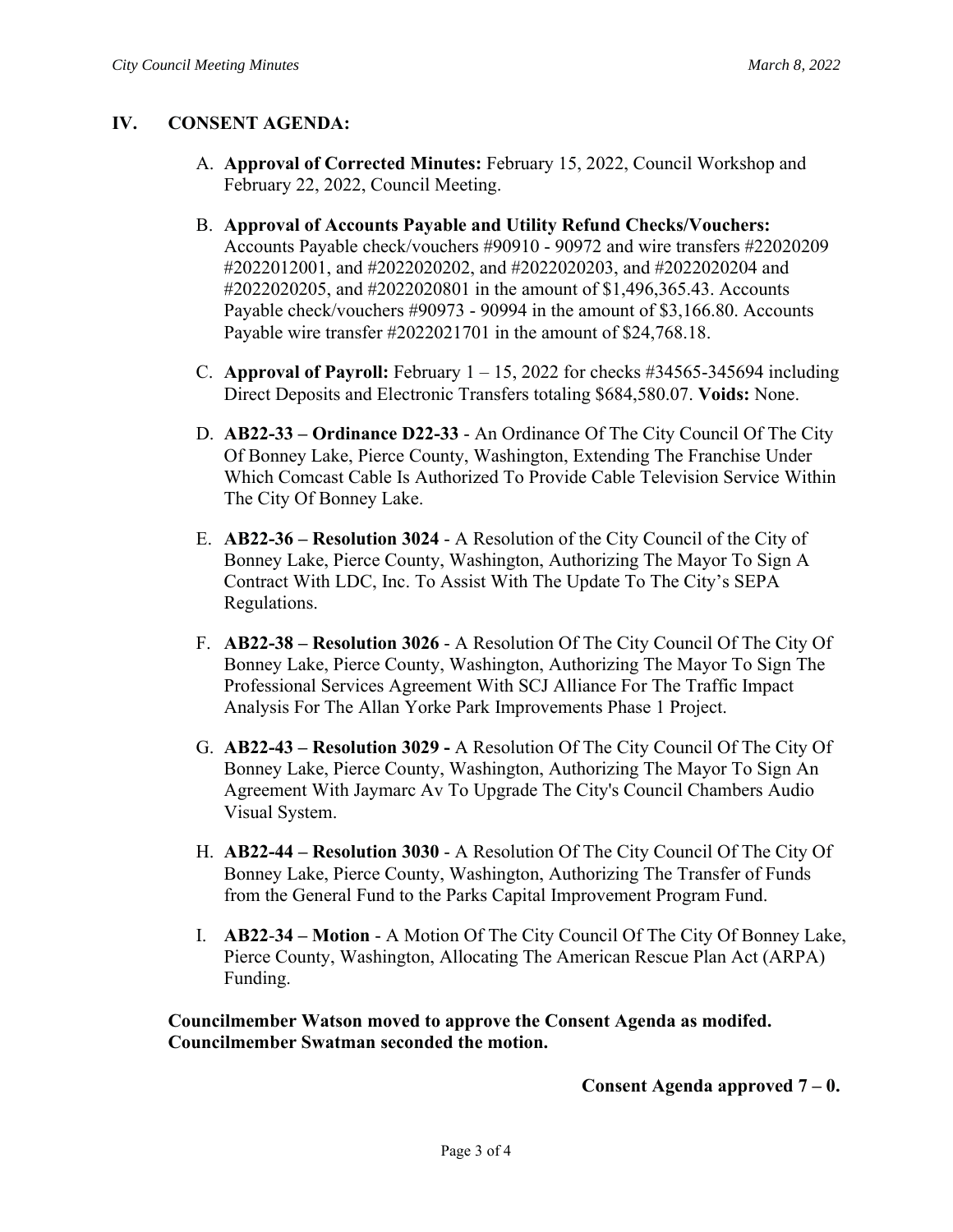# **IV. CONSENT AGENDA:**

- A. **Approval of Corrected Minutes:** February 15, 2022, Council Workshop and February 22, 2022, Council Meeting.
- B. **Approval of Accounts Payable and Utility Refund Checks/Vouchers:**  Accounts Payable check/vouchers #90910 - 90972 and wire transfers #22020209 #2022012001, and #2022020202, and #2022020203, and #2022020204 and #2022020205, and #2022020801 in the amount of \$1,496,365.43. Accounts Payable check/vouchers #90973 - 90994 in the amount of \$3,166.80. Accounts Payable wire transfer #2022021701 in the amount of \$24,768.18.
- C. **Approval of Payroll:** February  $1 15$ , 2022 for checks  $\#34565-345694$  including Direct Deposits and Electronic Transfers totaling \$684,580.07. **Voids:** None.
- D. **AB22-33 Ordinance D22-33** An Ordinance Of The City Council Of The City Of Bonney Lake, Pierce County, Washington, Extending The Franchise Under Which Comcast Cable Is Authorized To Provide Cable Television Service Within The City Of Bonney Lake.
- E. **AB22-36 Resolution 3024** A Resolution of the City Council of the City of Bonney Lake, Pierce County, Washington, Authorizing The Mayor To Sign A Contract With LDC, Inc. To Assist With The Update To The City's SEPA Regulations.
- F. **AB22-38 Resolution 3026** A Resolution Of The City Council Of The City Of Bonney Lake, Pierce County, Washington, Authorizing The Mayor To Sign The Professional Services Agreement With SCJ Alliance For The Traffic Impact Analysis For The Allan Yorke Park Improvements Phase 1 Project.
- G. **AB22-43 Resolution 3029** A Resolution Of The City Council Of The City Of Bonney Lake, Pierce County, Washington, Authorizing The Mayor To Sign An Agreement With Jaymarc Av To Upgrade The City's Council Chambers Audio Visual System.
- H. **AB22-44 Resolution 3030** A Resolution Of The City Council Of The City Of Bonney Lake, Pierce County, Washington, Authorizing The Transfer of Funds from the General Fund to the Parks Capital Improvement Program Fund.
- I. **AB22**-**34 Motion** A Motion Of The City Council Of The City Of Bonney Lake, Pierce County, Washington, Allocating The American Rescue Plan Act (ARPA) Funding.

**Councilmember Watson moved to approve the Consent Agenda as modifed. Councilmember Swatman seconded the motion.**

### **Consent Agenda approved 7 – 0.**